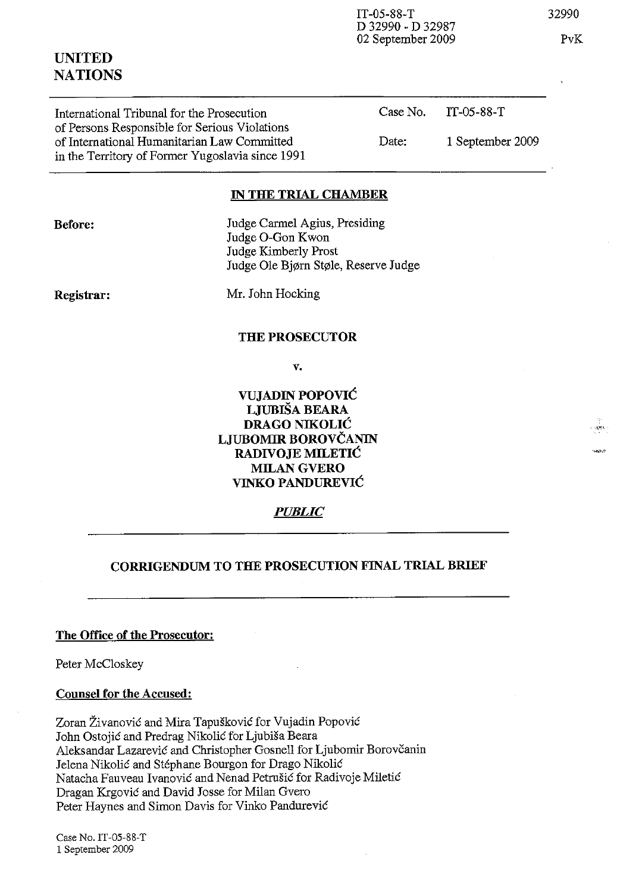IT-05-88-T D 32990 - D 32987 02 September 2009 32990

PvK

| International Tribunal for the Prosecution<br>of Persons Responsible for Serious Violations     |       | Case No. $TT-05-88-T$ |
|-------------------------------------------------------------------------------------------------|-------|-----------------------|
| of International Humanitarian Law Committed<br>in the Territory of Former Yugoslavia since 1991 | Date: | 1 September 2009      |

#### **IN THE TRIAL CHAMBER**

Judge Carmel Agius, Presiding Judge O-Gon Kwon Judge Kimberly Prost Judge Ole Bj¢rn St¢le, Reserve Judge

**Registrar:** 

Mr. John Hocking

#### **THE PROSECUTOR**

**v.** 

**VUJADIN POPOVIC LJUBISA BEARA DRAGO NIKOLIC LJUBOMIR BOROVCANIN RADIVOJE MILETIC**  MILAN GVERO **VINKO PANDUREVIC** 

*PUBLIC* 

## **CORRIGENDUM TO THE PROSECUTION FINAL TRIAL BRIEF**

## **The Office of the Prosecutor:**

Peter McCloskey

## **Counsel for the Accused:**

Zoran Živanović and Mira Tapušković for Vujadin Popović John Ostojic and Predrag Nikolic for Ljubisa Beara Aleksandar Lazarević and Christopher Gosnell for Ljubomir Borovčanin Jelena Nikolić and Stéphane Bourgon for Drago Nikolić Natacha Fauveau Ivanovic and Nenad Petrusic for Radivoje Miletic Dragan Krgovic and David Josse for Milan Gvero Peter Haynes and Simon Davis for Vinko Pandurevic

Case No. IT-05-88-T 1 September 2009

# **UNITED NATIONS**

**Before:**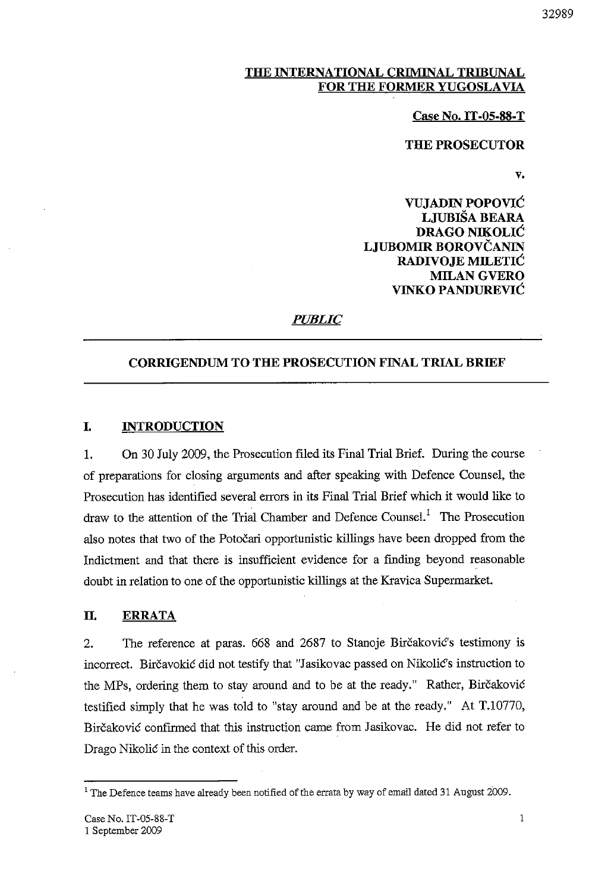### THE INTERNATIONAL CRIMINAL TRIBUNAL FOR THE FORMER YUGOSLAVIA

#### Case No. IT -05-88-T

### THE PROSECUTOR

v.

VUJADIN POPOVIC LJUBISA BEARA DRAGO NIKOLIC LJUBOMIR BOROVČANIN RADIVOJE MILETIC MILAN GVERO VINKO PANDUREVIC

## *PUBLIC*

### CORRIGENDUM TO THE PROSECUTION FINAL TRIAL BRIEF

#### I. INTRODUCTION

1. On 30 July 2009, the Prosecution filed its Final Trial Brief. During the course of preparations for closing arguments and after speaking with Defence Counsel, the Prosecution has identified several errors in its Final Trial Brief which it would like to draw to the attention of the Trial Chamber and Defence Counsel.<sup>1</sup> The Prosecution also notes that two of the Potocari opportunistic killings have been dropped from the Indictment and that there is insufficient evidence for a finding beyond reasonable doubt in relation to one of the opportunistic killings at the Kravica Supermarket.

#### II. ERRATA

2. The reference at paras. 668 and 2687 to Stanoje Bircakovic's testimony is incorrect. Birčavokić did not testify that "Jasikovac passed on Nikolić's instruction to the MPs, ordering them to stay around and to be at the ready." Rather, Bircakovic testified simply that he was told to "stay around and be at the ready." At T.10770, Birčaković confirmed that this instruction came from Jasikovac. He did not refer to Drago Nikolic in the context of this order.

<sup>&</sup>lt;sup>1</sup> The Defence teams have already been notified of the errata by way of email dated 31 August 2009.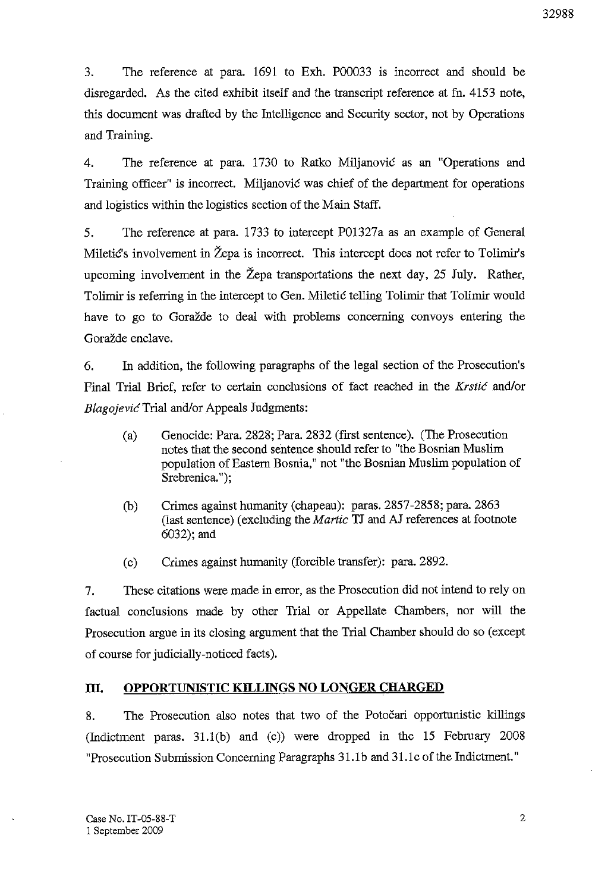3. The reference at para. 1691 to Exh. P00033 is incorrect and should be disregarded. As the cited exhibit itself and the transcript reference at fn. 4153 note, this document was drafted by the Intelligence and Security sector, not by Operations and Training.

4. The reference at para. 1730 to Ratko Miljanovic as an "Operations and Training officer" is incorrect. Miljanovic was chief of the department for operations and logistics within the logistics section of the Main Staff.

5. The reference at para. 1733 to intercept P01327a as an example of General Miletic's involvement in Zepa is incorrect. This intercept does not refer to Tolimir's upcoming involvement in the Žepa transportations the next day, 25 July. Rather, Tolimir is referring in the intercept to Gen. Miletic telling Tolimir that Tolimir would have to go to Goražde to deal with problems concerning convoys entering the Goražde enclave.

6. In addition, the following paragraphs of the legal section of the Prosecution's Final Trial Brief, refer to certain conclusions of fact reached in the *Krstic* and/or *BlagojevicTrial* and/or Appeals Judgments:

- (a) Genocide: Para. 2828; Para. 2832 (first sentence). (The Prosecution notes that the second sentence should refer to "the Bosnian Muslim population of Eastern Bosnia," not "the Bosnian Muslim population of Srebrenica.");
- (b) Crimes against humanity (chapeau): paras. 2857-2858; para. 2863 (last sentence) (excluding the *Martie* TJ and AJ references at footnote 6032); and
- (c) Crimes against humanity (forcible transfer): para. 2892.

7. These citations were made in error, as the Prosecution did not intend to rely on factual conclusions made by other Trial or Appellate Chambers, nor will the Prosecution argue in its closing argument that the Trial Chamber should do so (except of course for judicially-noticed facts).

#### **m. OPPORTUNISTIC KILLINGS NO LONGER CHARGED**

8. The Prosecution also notes that two of the Potocari opportunistic killings (Indictment paras. 31.1 (b) and (c)) were dropped in the 15 February 2008 "Prosecution Submission Concerning Paragraphs 31.1b and 31.1c of the Indictment."

2